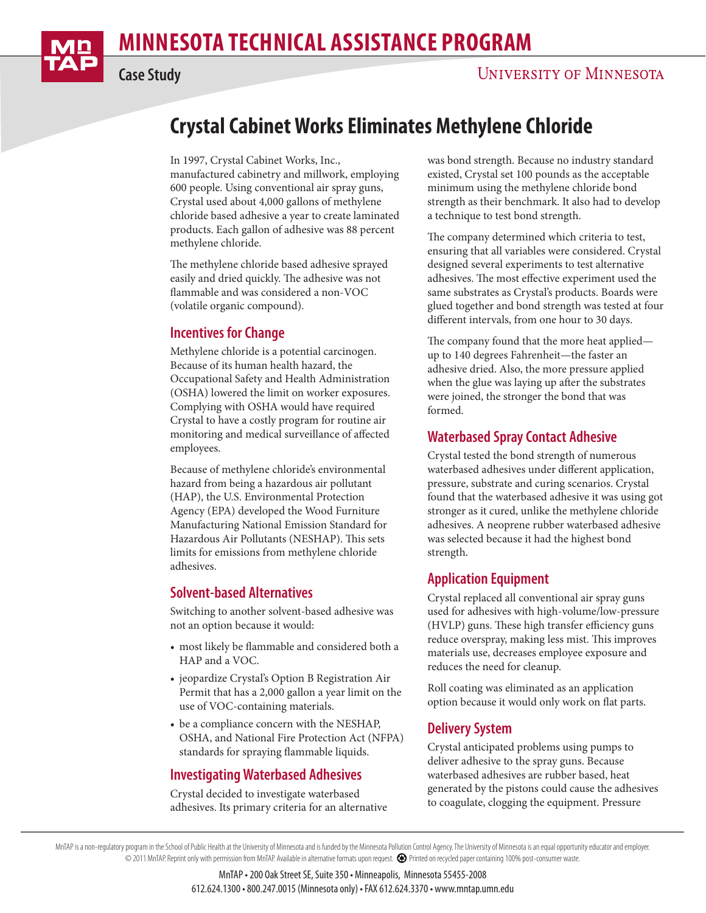# **Crystal Cabinet Works Eliminates Methylene Chloride**

In 1997, Crystal Cabinet Works, Inc., manufactured cabinetry and millwork, employing 600 people. Using conventional air spray guns, Crystal used about 4,000 gallons of methylene chloride based adhesive a year to create laminated products. Each gallon of adhesive was 88 percent methylene chloride.

The methylene chloride based adhesive sprayed easily and dried quickly. The adhesive was not flammable and was considered a non-VOC (volatile organic compound).

## **Incentives for Change**

Methylene chloride is a potential carcinogen. Because of its human health hazard, the Occupational Safety and Health Administration (OSHA) lowered the limit on worker exposures. Complying with OSHA would have required Crystal to have a costly program for routine air monitoring and medical surveillance of affected employees.

Because of methylene chloride's environmental hazard from being a hazardous air pollutant (HAP), the U.S. Environmental Protection Agency (EPA) developed the Wood Furniture Manufacturing National Emission Standard for Hazardous Air Pollutants (NESHAP). This sets limits for emissions from methylene chloride adhesives.

#### **Solvent-based Alternatives**

Switching to another solvent-based adhesive was not an option because it would:

- most likely be flammable and considered both a HAP and a VOC.
- jeopardize Crystal's Option B Registration Air Permit that has a 2,000 gallon a year limit on the use of VOC-containing materials.
- be a compliance concern with the NESHAP, OSHA, and National Fire Protection Act (NFPA) standards for spraying flammable liquids.

# **Investigating Waterbased Adhesives**

Crystal decided to investigate waterbased adhesives. Its primary criteria for an alternative was bond strength. Because no industry standard existed, Crystal set 100 pounds as the acceptable minimum using the methylene chloride bond strength as their benchmark. It also had to develop a technique to test bond strength.

The company determined which criteria to test, ensuring that all variables were considered. Crystal designed several experiments to test alternative adhesives. The most effective experiment used the same substrates as Crystal's products. Boards were glued together and bond strength was tested at four different intervals, from one hour to 30 days.

The company found that the more heat applied up to 140 degrees Fahrenheit—the faster an adhesive dried. Also, the more pressure applied when the glue was laying up after the substrates were joined, the stronger the bond that was formed.

## **Waterbased Spray Contact Adhesive**

Crystal tested the bond strength of numerous waterbased adhesives under different application, pressure, substrate and curing scenarios. Crystal found that the waterbased adhesive it was using got stronger as it cured, unlike the methylene chloride adhesives. A neoprene rubber waterbased adhesive was selected because it had the highest bond strength.

## **Application Equipment**

Crystal replaced all conventional air spray guns used for adhesives with high-volume/low-pressure (HVLP) guns. These high transfer efficiency guns reduce overspray, making less mist. This improves materials use, decreases employee exposure and reduces the need for cleanup.

Roll coating was eliminated as an application option because it would only work on flat parts.

## **Delivery System**

Crystal anticipated problems using pumps to deliver adhesive to the spray guns. Because waterbased adhesives are rubber based, heat generated by the pistons could cause the adhesives to coagulate, clogging the equipment. Pressure

MnTAP is a non-regulatory program in the School of Public Health at the University of Minnesota and is funded by the Minnesota Pollution Control Agency. The University of Minnesota is an equal opportunity educator and empl © 2011 MnTAP. Reprint only with permission from MnTAP. Available in alternative formats upon request. Printed on recycled paper containing 100% post-consumer waste.